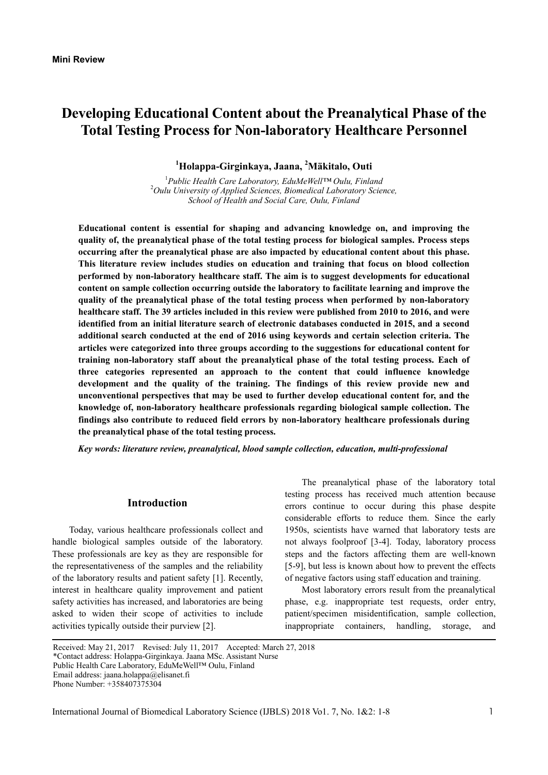# **Developing Educational Content about the Preanalytical Phase of the Total Testing Process for Non-laboratory Healthcare Personnel**

**1 Holappa-Girginkaya, Jaana, 2 Mäkitalo, Outi** 

1 *Public Health Care Laboratory, EduMeWell™ Oulu, Finland* <sup>2</sup> *Oulu University of Applied Sciences, Biomedical Laboratory Science, School of Health and Social Care, Oulu, Finland* 

**Educational content is essential for shaping and advancing knowledge on, and improving the quality of, the preanalytical phase of the total testing process for biological samples. Process steps occurring after the preanalytical phase are also impacted by educational content about this phase. This literature review includes studies on education and training that focus on blood collection performed by non-laboratory healthcare staff. The aim is to suggest developments for educational content on sample collection occurring outside the laboratory to facilitate learning and improve the quality of the preanalytical phase of the total testing process when performed by non-laboratory healthcare staff. The 39 articles included in this review were published from 2010 to 2016, and were identified from an initial literature search of electronic databases conducted in 2015, and a second additional search conducted at the end of 2016 using keywords and certain selection criteria. The articles were categorized into three groups according to the suggestions for educational content for training non-laboratory staff about the preanalytical phase of the total testing process. Each of three categories represented an approach to the content that could influence knowledge development and the quality of the training. The findings of this review provide new and unconventional perspectives that may be used to further develop educational content for, and the knowledge of, non-laboratory healthcare professionals regarding biological sample collection. The findings also contribute to reduced field errors by non-laboratory healthcare professionals during the preanalytical phase of the total testing process.** 

*Key words: literature review, preanalytical, blood sample collection, education, multi-professional* 

#### **Introduction**

Today, various healthcare professionals collect and handle biological samples outside of the laboratory. These professionals are key as they are responsible for the representativeness of the samples and the reliability of the laboratory results and patient safety [1]. Recently, interest in healthcare quality improvement and patient safety activities has increased, and laboratories are being asked to widen their scope of activities to include activities typically outside their purview [2].

The preanalytical phase of the laboratory total testing process has received much attention because errors continue to occur during this phase despite considerable efforts to reduce them. Since the early 1950s, scientists have warned that laboratory tests are not always foolproof [3-4]. Today, laboratory process steps and the factors affecting them are well-known [5-9], but less is known about how to prevent the effects of negative factors using staff education and training.

Most laboratory errors result from the preanalytical phase, e.g. inappropriate test requests, order entry, patient/specimen misidentification, sample collection, inappropriate containers, handling, storage, and

Received: May 21, 2017 Revised: July 11, 2017 Accepted: March 27, 2018 \*Contact address: Holappa-Girginkaya. Jaana MSc. Assistant Nurse Public Health Care Laboratory, EduMeWell™ Oulu, Finland Email address: jaana.holappa@elisanet.fi Phone Number: +358407375304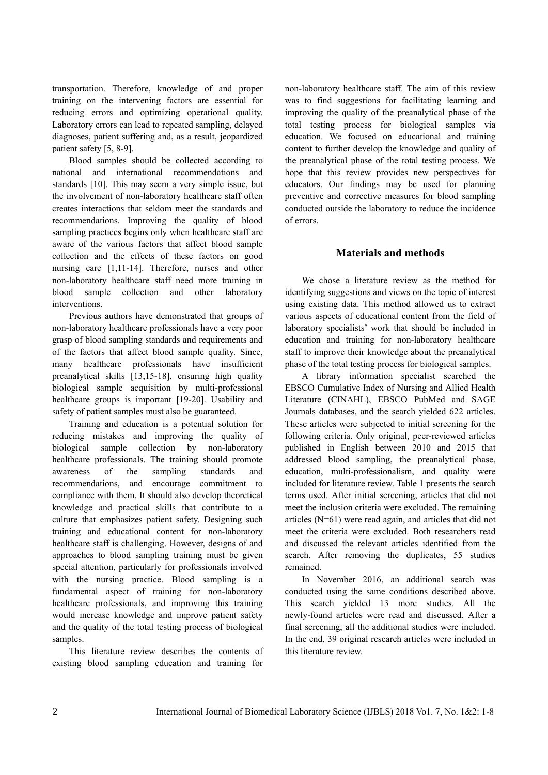transportation. Therefore, knowledge of and proper training on the intervening factors are essential for reducing errors and optimizing operational quality. Laboratory errors can lead to repeated sampling, delayed diagnoses, patient suffering and, as a result, jeopardized patient safety [5, 8-9].

Blood samples should be collected according to national and international recommendations and standards [10]. This may seem a very simple issue, but the involvement of non-laboratory healthcare staff often creates interactions that seldom meet the standards and recommendations. Improving the quality of blood sampling practices begins only when healthcare staff are aware of the various factors that affect blood sample collection and the effects of these factors on good nursing care [1,11-14]. Therefore, nurses and other non-laboratory healthcare staff need more training in blood sample collection and other laboratory interventions.

Previous authors have demonstrated that groups of non-laboratory healthcare professionals have a very poor grasp of blood sampling standards and requirements and of the factors that affect blood sample quality. Since, many healthcare professionals have insufficient preanalytical skills [13,15-18], ensuring high quality biological sample acquisition by multi-professional healthcare groups is important [19-20]. Usability and safety of patient samples must also be guaranteed.

Training and education is a potential solution for reducing mistakes and improving the quality of biological sample collection by non-laboratory healthcare professionals. The training should promote awareness of the sampling standards and recommendations, and encourage commitment to compliance with them. It should also develop theoretical knowledge and practical skills that contribute to a culture that emphasizes patient safety. Designing such training and educational content for non-laboratory healthcare staff is challenging. However, designs of and approaches to blood sampling training must be given special attention, particularly for professionals involved with the nursing practice. Blood sampling is a fundamental aspect of training for non-laboratory healthcare professionals, and improving this training would increase knowledge and improve patient safety and the quality of the total testing process of biological samples.

This literature review describes the contents of existing blood sampling education and training for

non-laboratory healthcare staff. The aim of this review was to find suggestions for facilitating learning and improving the quality of the preanalytical phase of the total testing process for biological samples via education. We focused on educational and training content to further develop the knowledge and quality of the preanalytical phase of the total testing process. We hope that this review provides new perspectives for educators. Our findings may be used for planning preventive and corrective measures for blood sampling conducted outside the laboratory to reduce the incidence of errors.

# **Materials and methods**

We chose a literature review as the method for identifying suggestions and views on the topic of interest using existing data. This method allowed us to extract various aspects of educational content from the field of laboratory specialists' work that should be included in education and training for non-laboratory healthcare staff to improve their knowledge about the preanalytical phase of the total testing process for biological samples.

A library information specialist searched the EBSCO Cumulative Index of Nursing and Allied Health Literature (CINAHL), EBSCO PubMed and SAGE Journals databases, and the search yielded 622 articles. These articles were subjected to initial screening for the following criteria. Only original, peer-reviewed articles published in English between 2010 and 2015 that addressed blood sampling, the preanalytical phase, education, multi-professionalism, and quality were included for literature review. Table 1 presents the search terms used. After initial screening, articles that did not meet the inclusion criteria were excluded. The remaining articles (N=61) were read again, and articles that did not meet the criteria were excluded. Both researchers read and discussed the relevant articles identified from the search. After removing the duplicates, 55 studies remained.

In November 2016, an additional search was conducted using the same conditions described above. This search yielded 13 more studies. All the newly-found articles were read and discussed. After a final screening, all the additional studies were included. In the end, 39 original research articles were included in this literature review.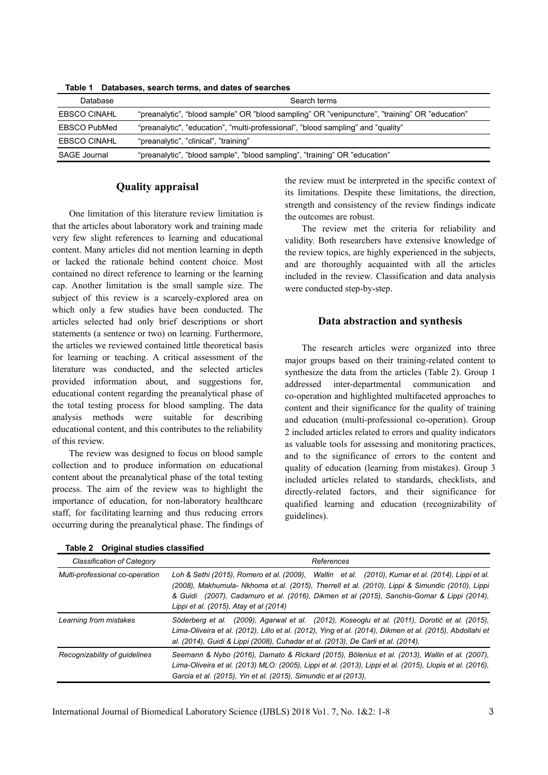| Table The Databases, search terms, and dates of searches |                                                                                                |
|----------------------------------------------------------|------------------------------------------------------------------------------------------------|
| Database                                                 | Search terms                                                                                   |
| <b>EBSCO CINAHL</b>                                      | "preanalytic", "blood sample" OR "blood sampling" OR "venipuncture", "training" OR "education" |
| <b>EBSCO PubMed</b>                                      | "preanalytic", "education", "multi-professional", "blood sampling" and "quality"               |
| <b>EBSCO CINAHL</b>                                      | "preanalytic", "clinical", "training"                                                          |
| SAGE Journal                                             | "preanalytic", "blood sample", "blood sampling", "training" OR "education"                     |

**Table 1 Databases, search terms, and dates of searches** 

#### **Quality appraisal**

One limitation of this literature review limitation is that the articles about laboratory work and training made very few slight references to learning and educational content. Many articles did not mention learning in depth or lacked the rationale behind content choice. Most contained no direct reference to learning or the learning cap. Another limitation is the small sample size. The subject of this review is a scarcely-explored area on which only a few studies have been conducted. The articles selected had only brief descriptions or short statements (a sentence or two) on learning. Furthermore, the articles we reviewed contained little theoretical basis for learning or teaching. A critical assessment of the literature was conducted, and the selected articles provided information about, and suggestions for, educational content regarding the preanalytical phase of the total testing process for blood sampling. The data analysis methods were suitable for describing educational content, and this contributes to the reliability of this review.

The review was designed to focus on blood sample collection and to produce information on educational content about the preanalytical phase of the total testing process. The aim of the review was to highlight the importance of education, for non-laboratory healthcare staff, for facilitating learning and thus reducing errors occurring during the preanalytical phase. The findings of the review must be interpreted in the specific context of its limitations. Despite these limitations, the direction, strength and consistency of the review findings indicate the outcomes are robust.

The review met the criteria for reliability and validity. Both researchers have extensive knowledge of the review topics, are highly experienced in the subjects, and are thoroughly acquainted with all the articles included in the review. Classification and data analysis were conducted step-by-step.

## **Data abstraction and synthesis**

The research articles were organized into three major groups based on their training-related content to synthesize the data from the articles (Table 2). Group 1 addressed inter-departmental communication and co-operation and highlighted multifaceted approaches to content and their significance for the quality of training and education (multi-professional co-operation). Group 2 included articles related to errors and quality indicators as valuable tools for assessing and monitoring practices, and to the significance of errors to the content and quality of education (learning from mistakes). Group 3 included articles related to standards, checklists, and directly-related factors, and their significance for qualified learning and education (recognizability of guidelines).

| Classification of Category      | References                                                                                                                                                                                                                                                                                                                                   |
|---------------------------------|----------------------------------------------------------------------------------------------------------------------------------------------------------------------------------------------------------------------------------------------------------------------------------------------------------------------------------------------|
| Multi-professional co-operation | Loh & Sethi (2015), Romero et al. (2009), Wallin et al. (2010), Kumar et al. (2014), Lippi et al.<br>(2008), Makhumula- Nkhoma et.al. (2015), Therrell et al. (2010), Lippi & Simundic (2010), Lippi<br>& Guidi (2007), Cadamuro et al. (2016), Dikmen et al (2015), Sanchis-Gomar & Lippi (2014),<br>Lippi et al. (2015), Atay et al (2014) |
| Learning from mistakes          | Söderberg et al. (2009), Agarwal et al. (2012), Koseoglu et al. (2011), Dorotić et al. (2015),<br>Lima-Oliveira et al. (2012), Lillo et al. (2012), Ying et al. (2014), Dikmen et al. (2015), Abdollahi et<br>al. (2014), Guidi & Lippi (2008), Cuhadar et al. (2013), De Carli et al. (2014),                                               |
| Recognizability of guidelines   | Seemann & Nybo (2016), Damato & Rickard (2015), Bölenius et al. (2013), Wallin et al. (2007),<br>Lima-Oliveira et al. (2013) MLO: (2005), Lippi et al. (2013), Lippi et al. (2015), Llopis et al. (2016),<br>Garcia et al. (2015), Yin et al. (2015), Simundic et al (2013),                                                                 |

**Table 2 Original studies classified**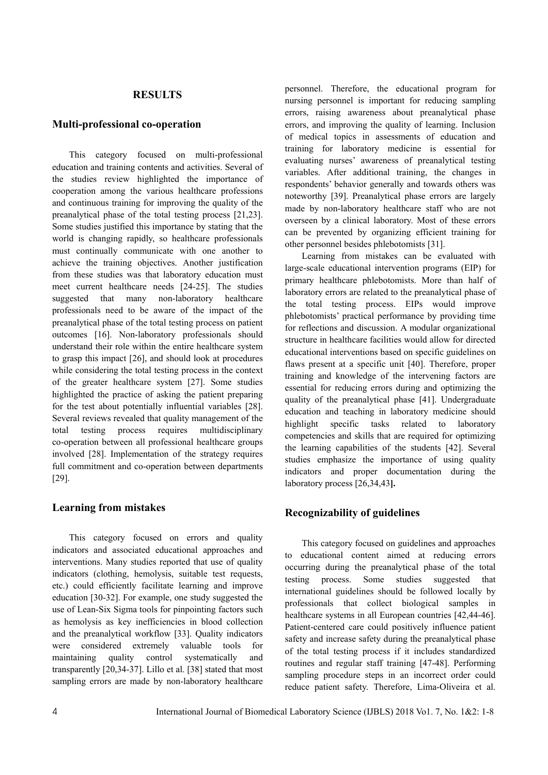## **RESULTS**

#### **Multi-professional co-operation**

This category focused on multi-professional education and training contents and activities. Several of the studies review highlighted the importance of cooperation among the various healthcare professions and continuous training for improving the quality of the preanalytical phase of the total testing process [21,23]. Some studies justified this importance by stating that the world is changing rapidly, so healthcare professionals must continually communicate with one another to achieve the training objectives. Another justification from these studies was that laboratory education must meet current healthcare needs [24-25]. The studies suggested that many non-laboratory healthcare professionals need to be aware of the impact of the preanalytical phase of the total testing process on patient outcomes [16]. Non-laboratory professionals should understand their role within the entire healthcare system to grasp this impact [26], and should look at procedures while considering the total testing process in the context of the greater healthcare system [27]. Some studies highlighted the practice of asking the patient preparing for the test about potentially influential variables [28]. Several reviews revealed that quality management of the total testing process requires multidisciplinary co-operation between all professional healthcare groups involved [28]. Implementation of the strategy requires full commitment and co-operation between departments [29].

#### **Learning from mistakes**

This category focused on errors and quality indicators and associated educational approaches and interventions. Many studies reported that use of quality indicators (clothing, hemolysis, suitable test requests, etc.) could efficiently facilitate learning and improve education [30-32]. For example, one study suggested the use of Lean-Six Sigma tools for pinpointing factors such as hemolysis as key inefficiencies in blood collection and the preanalytical workflow [33]. Quality indicators were considered extremely valuable tools for maintaining quality control systematically and transparently [20,34-37]. Lillo et al. [38] stated that most sampling errors are made by non-laboratory healthcare

personnel. Therefore, the educational program for nursing personnel is important for reducing sampling errors, raising awareness about preanalytical phase errors, and improving the quality of learning. Inclusion of medical topics in assessments of education and training for laboratory medicine is essential for evaluating nurses' awareness of preanalytical testing variables. After additional training, the changes in respondents' behavior generally and towards others was noteworthy [39]. Preanalytical phase errors are largely made by non-laboratory healthcare staff who are not overseen by a clinical laboratory. Most of these errors can be prevented by organizing efficient training for other personnel besides phlebotomists [31].

Learning from mistakes can be evaluated with large-scale educational intervention programs (EIP) for primary healthcare phlebotomists. More than half of laboratory errors are related to the preanalytical phase of the total testing process. EIPs would improve phlebotomists' practical performance by providing time for reflections and discussion. A modular organizational structure in healthcare facilities would allow for directed educational interventions based on specific guidelines on flaws present at a specific unit [40]. Therefore, proper training and knowledge of the intervening factors are essential for reducing errors during and optimizing the quality of the preanalytical phase [41]. Undergraduate education and teaching in laboratory medicine should highlight specific tasks related to laboratory competencies and skills that are required for optimizing the learning capabilities of the students [42]. Several studies emphasize the importance of using quality indicators and proper documentation during the laboratory process [26,34,43**].**

# **Recognizability of guidelines**

This category focused on guidelines and approaches to educational content aimed at reducing errors occurring during the preanalytical phase of the total testing process. Some studies suggested that international guidelines should be followed locally by professionals that collect biological samples in healthcare systems in all European countries [42,44-46]. Patient-centered care could positively influence patient safety and increase safety during the preanalytical phase of the total testing process if it includes standardized routines and regular staff training [47-48]. Performing sampling procedure steps in an incorrect order could reduce patient safety. Therefore, Lima-Oliveira et al.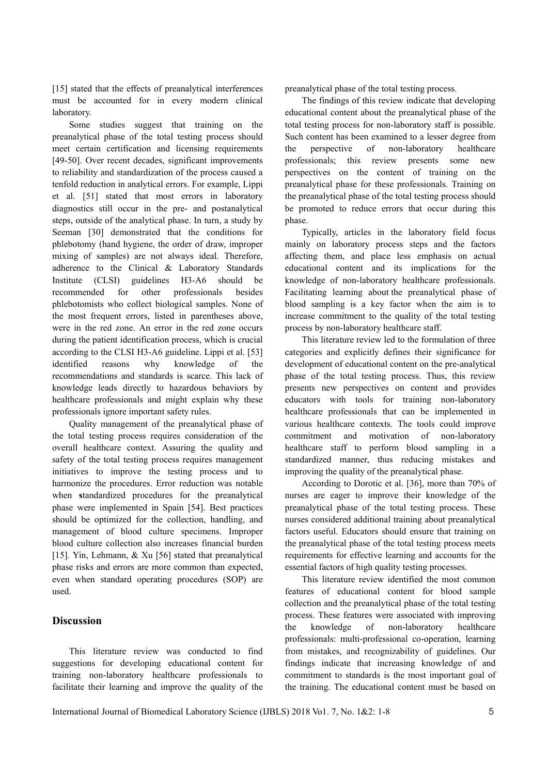[15] stated that the effects of preanalytical interferences must be accounted for in every modern clinical laboratory.

Some studies suggest that training on the preanalytical phase of the total testing process should meet certain certification and licensing requirements [49-50]. Over recent decades, significant improvements to reliability and standardization of the process caused a tenfold reduction in analytical errors. For example, Lippi et al. [51] stated that most errors in laboratory diagnostics still occur in the pre- and postanalytical steps, outside of the analytical phase. In turn, a study by Seeman [30] demonstrated that the conditions for phlebotomy (hand hygiene, the order of draw, improper mixing of samples) are not always ideal. Therefore, adherence to the Clinical & Laboratory Standards Institute (CLSI) guidelines H3-A6 should be recommended for other professionals besides phlebotomists who collect biological samples. None of the most frequent errors, listed in parentheses above, were in the red zone. An error in the red zone occurs during the patient identification process, which is crucial according to the CLSI H3-A6 guideline. Lippi et al. [53] identified reasons why knowledge of the recommendations and standards is scarce. This lack of knowledge leads directly to hazardous behaviors by healthcare professionals and might explain why these professionals ignore important safety rules.

Quality management of the preanalytical phase of the total testing process requires consideration of the overall healthcare context. Assuring the quality and safety of the total testing process requires management initiatives to improve the testing process and to harmonize the procedures. Error reduction was notable when **s**tandardized procedures for the preanalytical phase were implemented in Spain [54]. Best practices should be optimized for the collection, handling, and management of blood culture specimens. Improper blood culture collection also increases financial burden [15]. Yin, Lehmann, & Xu [56] stated that preanalytical phase risks and errors are more common than expected, even when standard operating procedures (SOP) are used.

# **Discussion**

This literature review was conducted to find suggestions for developing educational content for training non-laboratory healthcare professionals to facilitate their learning and improve the quality of the preanalytical phase of the total testing process.

The findings of this review indicate that developing educational content about the preanalytical phase of the total testing process for non-laboratory staff is possible. Such content has been examined to a lesser degree from the perspective of non-laboratory healthcare professionals; this review presents some new perspectives on the content of training on the preanalytical phase for these professionals. Training on the preanalytical phase of the total testing process should be promoted to reduce errors that occur during this phase.

Typically, articles in the laboratory field focus mainly on laboratory process steps and the factors affecting them, and place less emphasis on actual educational content and its implications for the knowledge of non-laboratory healthcare professionals. Facilitating learning about the preanalytical phase of blood sampling is a key factor when the aim is to increase commitment to the quality of the total testing process by non-laboratory healthcare staff.

This literature review led to the formulation of three categories and explicitly defines their significance for development of educational content on the pre-analytical phase of the total testing process. Thus, this review presents new perspectives on content and provides educators with tools for training non-laboratory healthcare professionals that can be implemented in various healthcare contexts. The tools could improve commitment and motivation of non-laboratory healthcare staff to perform blood sampling in a standardized manner, thus reducing mistakes and improving the quality of the preanalytical phase.

According to Dorotic et al. [36], more than 70% of nurses are eager to improve their knowledge of the preanalytical phase of the total testing process. These nurses considered additional training about preanalytical factors useful. Educators should ensure that training on the preanalytical phase of the total testing process meets requirements for effective learning and accounts for the essential factors of high quality testing processes.

This literature review identified the most common features of educational content for blood sample collection and the preanalytical phase of the total testing process. These features were associated with improving the knowledge of non-laboratory healthcare professionals: multi-professional co-operation, learning from mistakes, and recognizability of guidelines. Our findings indicate that increasing knowledge of and commitment to standards is the most important goal of the training. The educational content must be based on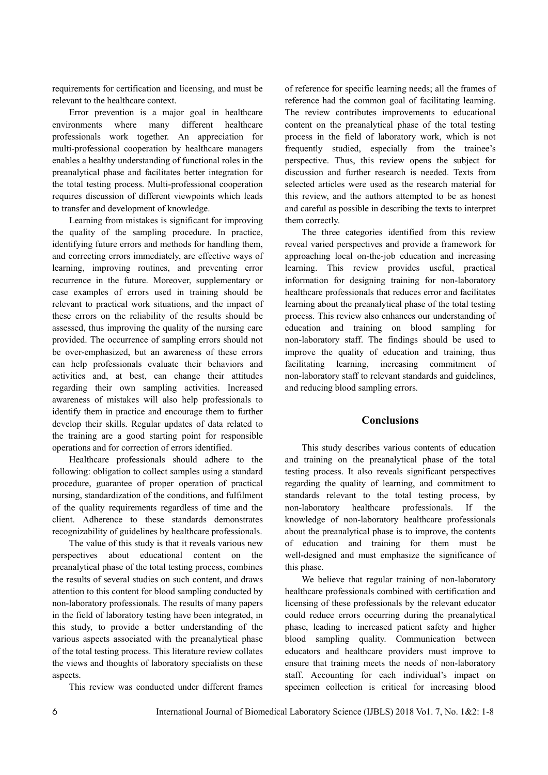requirements for certification and licensing, and must be relevant to the healthcare context.

Error prevention is a major goal in healthcare environments where many different healthcare professionals work together. An appreciation for multi-professional cooperation by healthcare managers enables a healthy understanding of functional roles in the preanalytical phase and facilitates better integration for the total testing process. Multi-professional cooperation requires discussion of different viewpoints which leads to transfer and development of knowledge.

Learning from mistakes is significant for improving the quality of the sampling procedure. In practice, identifying future errors and methods for handling them, and correcting errors immediately, are effective ways of learning, improving routines, and preventing error recurrence in the future. Moreover, supplementary or case examples of errors used in training should be relevant to practical work situations, and the impact of these errors on the reliability of the results should be assessed, thus improving the quality of the nursing care provided. The occurrence of sampling errors should not be over-emphasized, but an awareness of these errors can help professionals evaluate their behaviors and activities and, at best, can change their attitudes regarding their own sampling activities. Increased awareness of mistakes will also help professionals to identify them in practice and encourage them to further develop their skills. Regular updates of data related to the training are a good starting point for responsible operations and for correction of errors identified.

Healthcare professionals should adhere to the following: obligation to collect samples using a standard procedure, guarantee of proper operation of practical nursing, standardization of the conditions, and fulfilment of the quality requirements regardless of time and the client. Adherence to these standards demonstrates recognizability of guidelines by healthcare professionals.

The value of this study is that it reveals various new perspectives about educational content on the preanalytical phase of the total testing process, combines the results of several studies on such content, and draws attention to this content for blood sampling conducted by non-laboratory professionals. The results of many papers in the field of laboratory testing have been integrated, in this study, to provide a better understanding of the various aspects associated with the preanalytical phase of the total testing process. This literature review collates the views and thoughts of laboratory specialists on these aspects.

This review was conducted under different frames

of reference for specific learning needs; all the frames of reference had the common goal of facilitating learning. The review contributes improvements to educational content on the preanalytical phase of the total testing process in the field of laboratory work, which is not frequently studied, especially from the trainee's perspective. Thus, this review opens the subject for discussion and further research is needed. Texts from selected articles were used as the research material for this review, and the authors attempted to be as honest and careful as possible in describing the texts to interpret them correctly.

The three categories identified from this review reveal varied perspectives and provide a framework for approaching local on-the-job education and increasing learning. This review provides useful, practical information for designing training for non-laboratory healthcare professionals that reduces error and facilitates learning about the preanalytical phase of the total testing process. This review also enhances our understanding of education and training on blood sampling for non-laboratory staff. The findings should be used to improve the quality of education and training, thus facilitating learning, increasing commitment of non-laboratory staff to relevant standards and guidelines, and reducing blood sampling errors.

# **Conclusions**

This study describes various contents of education and training on the preanalytical phase of the total testing process. It also reveals significant perspectives regarding the quality of learning, and commitment to standards relevant to the total testing process, by non-laboratory healthcare professionals. If the knowledge of non-laboratory healthcare professionals about the preanalytical phase is to improve, the contents of education and training for them must be well-designed and must emphasize the significance of this phase.

We believe that regular training of non-laboratory healthcare professionals combined with certification and licensing of these professionals by the relevant educator could reduce errors occurring during the preanalytical phase, leading to increased patient safety and higher blood sampling quality. Communication between educators and healthcare providers must improve to ensure that training meets the needs of non-laboratory staff. Accounting for each individual's impact on specimen collection is critical for increasing blood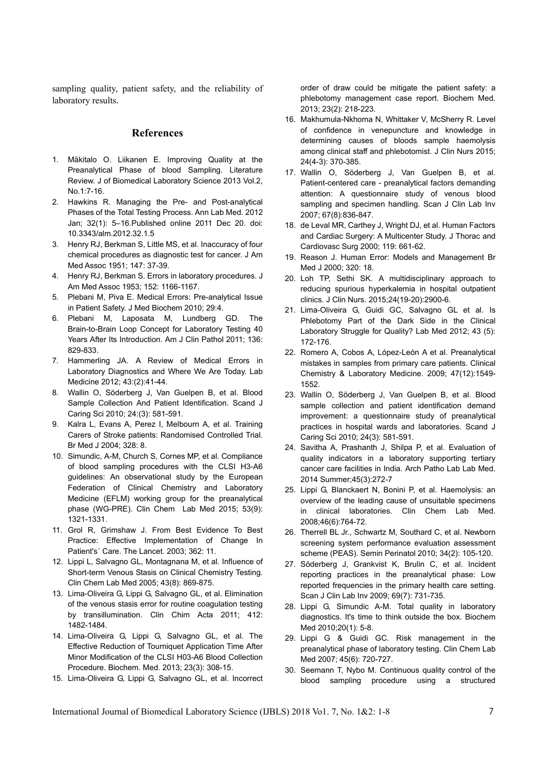sampling quality, patient safety, and the reliability of laboratory results.

#### **References**

- 1. Mäkitalo O. Liikanen E. Improving Quality at the Preanalytical Phase of blood Sampling. Literature Review. J of Biomedical Laboratory Science 2013 Vol.2, No.1:7-16.
- 2. Hawkins R. Managing the Pre- and Post-analytical Phases of the Total Testing Process. Ann Lab Med. 2012 Jan; 32(1): 5–16.Published online 2011 Dec 20. doi: 10.3343/alm.2012.32.1.5
- 3. Henry RJ, Berkman S, Little MS, et al. Inaccuracy of four chemical procedures as diagnostic test for cancer. J Am Med Assoc 1951; 147: 37-39.
- 4. Henry RJ, Berkman S. Errors in laboratory procedures. J Am Med Assoc 1953; 152: 1166-1167.
- 5. Plebani M, Piva E. Medical Errors: Pre-analytical Issue in Patient Safety. J Med Biochem 2010; 29:4.
- 6. Plebani M, Laposata M, Lundberg GD. The Brain-to-Brain Loop Concept for Laboratory Testing 40 Years After Its Introduction. Am J Clin Pathol 2011; 136: 829-833.
- 7. Hammerling JA. A Review of Medical Errors in Laboratory Diagnostics and Where We Are Today. Lab Medicine 2012; 43:(2):41-44.
- 8. Wallin O, Söderberg J, Van Guelpen B, et al. Blood Sample Collection And Patient Identification. Scand J Caring Sci 2010; 24:(3): 581-591.
- 9. Kalra L, Evans A, Perez I, Melbourn A, et al. Training Carers of Stroke patients: Randomised Controlled Trial. Br Med J 2004; 328: 8.
- 10. Simundic, A-M, Church S, Cornes MP, et al. Compliance of blood sampling procedures with the CLSI H3-A6 guidelines: An observational study by the European Federation of Clinical Chemistry and Laboratory Medicine (EFLM) working group for the preanalytical phase (WG-PRE). Clin Chem Lab Med 2015; 53(9): 1321-1331.
- 11. Grol R, Grimshaw J. From Best Evidence To Best Practice: Effective Implementation of Change In Patient's´ Care. The Lancet. 2003; 362: 11.
- 12. Lippi L, Salvagno GL, Montagnana M, et al. Influence of Short-term Venous Stasis on Clinical Chemistry Testing. Clin Chem Lab Med 2005; 43(8): 869-875.
- 13. Lima-Oliveira G, Lippi G, Salvagno GL, et al. Elimination of the venous stasis error for routine coagulation testing by transillumination. Clin Chim Acta 2011; 412: 1482-1484.
- 14. Lima-Oliveira G, Lippi G, Salvagno GL, et al. The Effective Reduction of Tourniquet Application Time After Minor Modification of the CLSI H03-A6 Blood Collection Procedure. Biochem. Med. 2013; 23(3): 308-15.
- 15. Lima-Oliveira G, Lippi G, Salvagno GL, et al. Incorrect

order of draw could be mitigate the patient safety: a phlebotomy management case report. Biochem Med. 2013; 23(2): 218-223.

- 16. Makhumula-Nkhoma N, Whittaker V, McSherry R. Level of confidence in venepuncture and knowledge in determining causes of bloods sample haemolysis among clinical staff and phlebotomist. J Clin Nurs 2015; 24(4-3): 370-385.
- 17. Wallin O, Söderberg J, Van Guelpen B, et al. Patient-centered care - preanalytical factors demanding attention: A questionnaire study of venous blood sampling and specimen handling. Scan J Clin Lab Inv 2007; 67(8):836-847.
- 18. de Leval MR, Carthey J, Wright DJ, et al. Human Factors and Cardiac Surgery: A Multicenter Study. J Thorac and Cardiovasc Surg 2000; 119: 661-62.
- 19. Reason J. Human Error: Models and Management Br Med J 2000; 320: 18.
- 20. Loh TP, Sethi SK. A multidisciplinary approach to reducing spurious hyperkalemia in hospital outpatient clinics. J Clin Nurs. 2015;24(19-20):2900-6.
- 21. Lima-Oliveira G, Guidi GC, Salvagno GL et al. Is Phlebotomy Part of the Dark Side in the Clinical Laboratory Struggle for Quality? Lab Med 2012; 43 (5): 172-176.
- 22. Romero A, Cobos A, López-León A et al. Preanalytical mistakes in samples from primary care patients. Clinical Chemistry & Laboratory Medicine. 2009; 47(12):1549- 1552.
- 23. Wallin O, Söderberg J, Van Guelpen B, et al. Blood sample collection and patient identification demand improvement: a questionnaire study of preanalytical practices in hospital wards and laboratories. Scand J Caring Sci 2010; 24(3): 581-591.
- 24. Savitha A, Prashanth J, Shilpa P, et al. Evaluation of quality indicators in a laboratory supporting tertiary cancer care facilities in India. Arch Patho Lab Lab Med. 2014 Summer;45(3):272-7
- 25. Lippi G, Blanckaert N, Bonini P, et al. Haemolysis: an overview of the leading cause of unsuitable specimens in clinical laboratories. Clin Chem Lab Med. 2008;46(6):764-72.
- 26. Therrell BL Jr., Schwartz M, Southard C, et al. Newborn screening system performance evaluation assessment scheme (PEAS). Semin Perinatol 2010; 34(2): 105-120.
- 27. Söderberg J, Grankvist K, Brulin C, et al. Incident reporting practices in the preanalytical phase: Low reported frequencies in the primary health care setting. Scan J Clin Lab Inv 2009; 69(7): 731-735.
- 28. Lippi G, Simundic A-M. Total quality in laboratory diagnostics. It's time to think outside the box. Biochem Med 2010;20(1): 5-8.
- 29. Lippi G & Guidi GC. Risk management in the preanalytical phase of laboratory testing. Clin Chem Lab Med 2007; 45(6): 720-727.
- 30. Seemann T, Nybo M. Continuous quality control of the blood sampling procedure using a structured